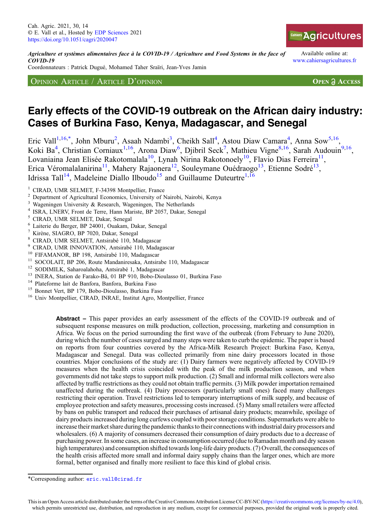Agriculture et systèmes alimentaires face à la COVID-19 / Agriculture and Food Systems in the face of COVID-19

Coordonnateurs : Patrick Dugué, Mohamed Taher Sraïri, Jean-Yves Jamin

OPINION ARTICLE / ARTICLE D'OPINION

Available online at: [www.cahiersagricultures.fr](https://www.cahiersagricultures.fr)

**OPEN A ACCESS** 

# Early effects of the COVID-19 outbreak on the African dairy industry: Cases of Burkina Faso, Kenya, Madagascar, and Senegal

Eric Vall<sup>1,16,\*</sup>, John Mburu<sup>2</sup>, Asaah Ndambi<sup>3</sup>, Cheikh Sall<sup>4</sup>, Astou Diaw Camara<sup>4</sup>, Anna Sow<sup>5,16</sup>, Koki Ba<sup>4</sup>, Christian Corniaux<sup>1,16</sup>, Arona Diaw<sup>6</sup>, Djibril Seck<sup>7</sup>, Mathieu Vigne<sup>8,16</sup>, Sarah Audouin<sup>9,16</sup>, Lovaniaina Jean Elisée Rakotomalala<sup>10</sup>, Lynah Nirina Rakotonoely<sup>10</sup>, Flavio Dias Ferreira<sup>11</sup>, Erica Véromalalanirina<sup>11</sup>, Mahery Rajaonera<sup>12</sup>, Souleymane Ouédraogo<sup>13</sup>, Etienne Sodré<sup>13</sup>, Idrissa Tall<sup>14</sup>, Madeleine Diallo Ilboudo<sup>15</sup> and Guillaume Duteurtre<sup>1,16</sup>

- 
- 
- 
- 
- 
- 
- 
- 
- 
- <sup>1</sup> CIRAD, UMR SELMET, F-34398 Montpellier, France<br>
<sup>2</sup> Department of Agricultural Economics, University of Nairobi, Nairobi, Kenya<br>
<sup>3</sup> Wageningen University & Research, Wageningen, The Netherlands<br>
<sup>4</sup> ISRA, LNERV, Front
- 
- 
- 

Abstract – This paper provides an early assessment of the effects of the COVID-19 outbreak and of subsequent response measures on milk production, collection, processing, marketing and consumption in Africa. We focus on the period surrounding the first wave of the outbreak (from February to June 2020), during which the number of cases surged and many steps were taken to curb the epidemic. The paper is based on reports from four countries covered by the Africa-Milk Research Project: Burkina Faso, Kenya, Madagascar and Senegal. Data was collected primarily from nine dairy processors located in those countries. Major conclusions of the study are: (1) Dairy farmers were negatively affected by COVID-19 measures when the health crisis coincided with the peak of the milk production season, and when governments did not take steps to support milk production. (2) Small and informal milk collectors were also affected by traffic restrictions as they could not obtain traffic permits. (3) Milk powder importation remained unaffected during the outbreak. (4) Dairy processors (particularly small ones) faced many challenges restricting their operation. Travel restrictions led to temporary interruptions of milk supply, and because of employee protection and safety measures, processing costs increased. (5) Many small retailers were affected by bans on public transport and reduced their purchases of artisanal dairy products; meanwhile, spoilage of dairy products increased during long curfews coupled with poor storage conditions. Supermarkets were able to increase their market share during the pandemic thanks to their connections with industrial dairy processors and wholesalers. (6) A majority of consumers decreased their consumption of dairy products due to a decrease of purchasing power. In some cases, an increase in consumption occurred (due to Ramadan month and dry season high temperatures) and consumption shifted towards long-life dairy products. (7) Overall, the consequences of the health crisis affected more small and informal dairy supply chains than the larger ones, which are more formal, better organised and finally more resilient to face this kind of global crisis.

<sup>\*</sup>Corresponding author: [eric.vall@cirad.fr](mailto:eric.vall@cirad.fr)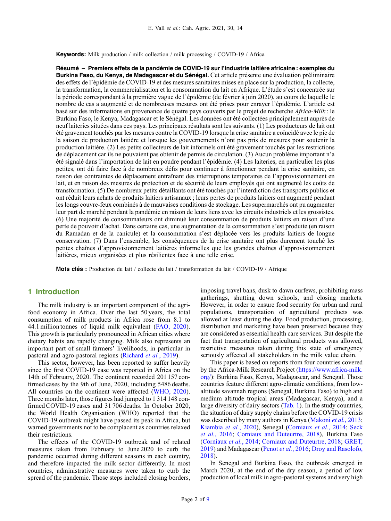Keywords: Milk production / milk collection / milk processing / COVID-19 / Africa

Résumé – Premiers effets de la pandémie de COVID-19 sur l'industrie laitière africaine : exemples du Burkina Faso, du Kenya, de Madagascar et du Sénégal. Cet article présente une évaluation préliminaire des effets de l'épidémie de COVID-19 et des mesures sanitaires mises en place sur la production, la collecte, la transformation, la commercialisation et la consommation du lait en Afrique. L'étude s'est concentrée sur la période correspondant à la première vague de l'épidémie (de février à juin 2020), au cours de laquelle le nombre de cas a augmenté et de nombreuses mesures ont été prises pour enrayer l'épidémie. L'article est basé sur des informations en provenance de quatre pays couverts par le projet de recherche Africa-Milk : le Burkina Faso, le Kenya, Madagascar et le Sénégal. Les données ont été collectées principalement auprès de neuf laiteries situées dans ces pays. Les principaux résultats sont les suivants. (1) Les producteurs de lait ont été gravement touchés par les mesures contre la COVID-19 lorsque la crise sanitaire a coïncidé avec le pic de la saison de production laitière et lorsque les gouvernements n'ont pas pris de mesures pour soutenir la production laitière. (2) Les petits collecteurs de lait informels ont été gravement touchés par les restrictions de déplacement car ils ne pouvaient pas obtenir de permis de circulation. (3) Aucun problème important n'a été signalé dans l'importation de lait en poudre pendant l'épidémie. (4) Les laiteries, en particulier les plus petites, ont dû faire face à de nombreux défis pour continuer à fonctionner pendant la crise sanitaire, en raison des contraintes de déplacement entraînant des interruptions temporaires de l'approvisionnement en lait, et en raison des mesures de protection et de sécurité de leurs employés qui ont augmenté les coûts de transformation. (5) De nombreux petits détaillants ont été touchés par l'interdiction des transports publics et ont réduit leurs achats de produits laitiers artisanaux ; leurs pertes de produits laitiers ont augmenté pendant les longs couvre-feux combinés à de mauvaises conditions de stockage. Les supermarchés ont pu augmenter leur part de marché pendant la pandémie en raison de leurs liens avec les circuits industriels et les grossistes. (6) Une majorité de consommateurs ont diminué leur consommation de produits laitiers en raison d'une perte de pouvoir d'achat. Dans certains cas, une augmentation de la consommation s'est produite (en raison du Ramadan et de la canicule) et la consommation s'est déplacée vers les produits laitiers de longue conservation. (7) Dans l'ensemble, les conséquences de la crise sanitaire ont plus durement touché les petites chaînes d'approvisionnement laitières informelles que les grandes chaînes d'approvisionnement laitières, mieux organisées et plus résilientes face à une telle crise.

Mots clés : Production du lait / collecte du lait / transformation du lait / COVID-19 / Afrique

## 1 Introduction

The milk industry is an important component of the agrifood economy in Africa. Over the last 50 years, the total consumption of milk products in Africa rose from 8.1 to 44.1 million tonnes of liquid milk equivalent [\(FAO, 2020](#page-8-0)). This growth is particularly pronounced in African cities where dietary habits are rapidly changing. Milk also represents an important part of small farmers' livelihoods, in particular in pastoral and agro-pastoral regions ([Richard](#page-8-0) et al., 2019).

This sector, however, has been reported to suffer heavily since the first COVID-19 case was reported in Africa on the 14th of February, 2020. The continent recorded 201 157 confirmed cases by the 9th of June, 2020, including 5486 deaths. All countries on the continent were affected ([WHO, 2020](#page-8-0)). Three months later, those figures had jumped to 1 314 148 confirmed COVID-19 cases and 31 706 deaths. In October 2020, the World Health Organisation (WHO) reported that the COVID-19 outbreak might have passed its peak in Africa, but warned governments not to be complacent as countries relaxed their restrictions.

The effects of the COVID-19 outbreak and of related measures taken from February to June 2020 to curb the pandemic occurred during different seasons in each country, and therefore impacted the milk sector differently. In most countries, administrative measures were taken to curb the spread of the pandemic. Those steps included closing borders, imposing travel bans, dusk to dawn curfews, prohibiting mass gatherings, shutting down schools, and closing markets. However, in order to ensure food security for urban and rural populations, transportation of agricultural products was allowed at least during the day. Food production, processing, distribution and marketing have been preserved because they are considered as essential health care services. But despite the fact that transportation of agricultural products was allowed, restrictive measures taken during this state of emergency seriously affected all stakeholders in the milk value chain.

This paper is based on reports from four countries covered by the Africa-Milk Research Project ([https://www.africa-milk.](https://www.africa-milk.org/) [org/](https://www.africa-milk.org/)): Burkina Faso, Kenya, Madagascar, and Senegal. Those countries feature different agro-climatic conditions, from lowaltitude savannah regions (Senegal, Burkina Faso) to high and medium altitude tropical areas (Madagascar, Kenya), and a large diversity of dairy sectors ([Tab. 1](#page-2-0)). In the study countries, the situation of dairy supply chains before the COVID-19 crisis was described by many authors in Kenya ([Makoni](#page-8-0) *et al.*, 2013; [Kiambia](#page-8-0) et al., 2020), Senegal ([Corniaux](#page-8-0) et al., 2014; [Seck](#page-8-0) et al.[, 2016](#page-8-0); [Corniaux and Duteurtre, 2018](#page-8-0)), Burkina Faso ([Corniaux](#page-8-0) et al., 2014; [Corniaux and Duteurtre, 2018](#page-8-0); [GRET,](#page-8-0) [2019](#page-8-0)) and Madagascar (Penot et al.[, 2016](#page-8-0); [Droy and Rasolofo,](#page-8-0) [2018](#page-8-0)).

In Senegal and Burkina Faso, the outbreak emerged in March 2020, at the end of the dry season, a period of low production of local milk in agro-pastoral systems and very high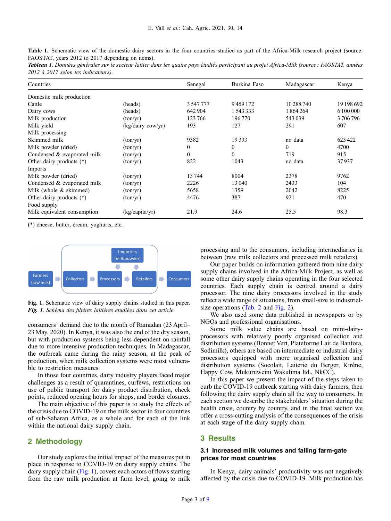<span id="page-2-0"></span>Table 1. Schematic view of the domestic dairy sectors in the four countries studied as part of the Africa-Milk research project (source: FAOSTAT, years 2012 to 2017 depending on items).

Tableau 1. Données générales sur le secteur laitier dans les quatre pays étudiés participant au projet Africa-Milk (source : FAOSTAT, années 2012 à 2017 selon les indicateurs).

| Countries                   |                               | Senegal      | Burkina Faso | Madagascar | Kenya      |
|-----------------------------|-------------------------------|--------------|--------------|------------|------------|
| Domestic milk production    |                               |              |              |            |            |
| Cattle                      | (heads)                       | 3547777      | 9459172      | 10 288 740 | 19 198 692 |
| Dairy cows                  | (heads)                       | 642 904      | 1543333      | 1864264    | 6 100 000  |
| Milk production             | (ton/yr)                      | 123766       | 196770       | 543039     | 3706796    |
| Milk yield                  | $(kg/dairy \, \text{cow/yr})$ | 193          | 127          | 291        | 607        |
| Milk processing             |                               |              |              |            |            |
| Skimmed milk                | (ton/yr)                      | 9382         | 19393        | no data    | 623422     |
| Milk powder (dried)         | (ton/yr)                      | $\mathbf{0}$ | $\mathbf{0}$ | $\theta$   | 4700       |
| Condensed & evaporated milk | (ton/yr)                      | $\Omega$     | $\theta$     | 719        | 915        |
| Other dairy products $(*)$  | (ton/yr)                      | 822          | 1043         | no data    | 37937      |
| Imports                     |                               |              |              |            |            |
| Milk powder (dried)         | (ton/yr)                      | 13744        | 8004         | 2378       | 9762       |
| Condensed & evaporated milk | (ton/yr)                      | 2226         | 13 040       | 2433       | 104        |
| Milk (whole & skimmed)      | (ton/yr)                      | 5658         | 1359         | 2042       | 8225       |
| Other dairy products $(*)$  | (ton/yr)                      | 4476         | 387          | 921        | 470        |
| Food supply                 |                               |              |              |            |            |
| Milk equivalent consumption | (kg/capita/yr)                | 21.9         | 24.6         | 25.5       | 98.3       |

(\*) cheese, butter, cream, yoghurts, etc.



Fig. 1. Schematic view of dairy supply chains studied in this paper. Fig. 1. Schéma des filières laitières étudiées dans cet article.

consumers' demand due to the month of Ramadan (23 April– 23 May, 2020). In Kenya, it was also the end of the dry season, but with production systems being less dependent on rainfall due to more intensive production techniques. In Madagascar, the outbreak came during the rainy season, at the peak of production, when milk collection systems were most vulnerable to restriction measures.

In those four countries, dairy industry players faced major challenges as a result of quarantines, curfews, restrictions on use of public transport for dairy product distribution, check points, reduced opening hours for shops, and border closures.

The main objective of this paper is to study the effects of the crisis due to COVID-19 on the milk sector in four countries of sub-Saharan Africa, as a whole and for each of the link within the national dairy supply chain.

# 2 Methodology

Our study explores the initial impact of the measures put in place in response to COVID-19 on dairy supply chains. The dairy supply chain (Fig. 1), covers each actors of flows starting from the raw milk production at farm level, going to milk processing and to the consumers, including intermediaries in between (raw milk collectors and processed milk retailers).

Our paper builds on information gathered from nine dairy supply chains involved in the Africa-Milk Project, as well as some other dairy supply chains operating in the four selected countries. Each supply chain is centred around a dairy processor. The nine dairy processors involved in the study reflect a wide range of situations, from small-size to industrialsize operations [\(Tab. 2](#page-3-0) and [Fig. 2](#page-3-0)).

We also used some data published in newspapers or by NGOs and professional organisations.

Some milk value chains are based on mini-dairyprocessors with relatively poorly organised collection and distribution systems (Bonnet Vert, Plateforme Lait de Banfora, Sodimilk), others are based on intermediate or industrial dairy processors equipped with more organised collection and distribution systems (Socolait, Laiterie du Berger, Kirène, Happy Cow, Mukuruweini Wakulima ltd., NkCC).

In this paper we present the impact of the steps taken to curb the COVID-19 outbreak starting with dairy farmers, then following the dairy supply chain all the way to consumers. In each section we describe the stakeholders'situation during the health crisis, country by country, and in the final section we offer a cross-cutting analysis of the consequences of the crisis at each stage of the dairy supply chain.

### 3 Results

## 3.1 Increased milk volumes and falling farm-gate prices for most countries

In Kenya, dairy animals' productivity was not negatively affected by the crisis due to COVID-19. Milk production has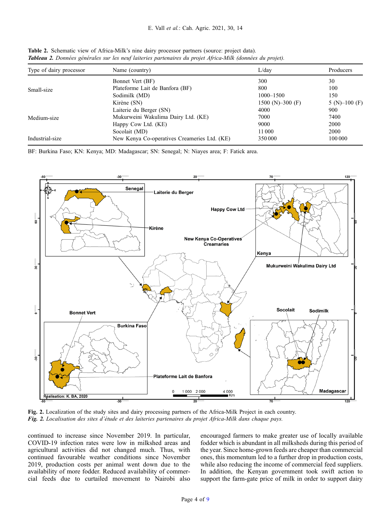| Type of dairy processor | Name (country)                               | L/day            | Producers     |
|-------------------------|----------------------------------------------|------------------|---------------|
| Small-size              | Bonnet Vert (BF)                             | 300              | 30            |
|                         | Plateforme Lait de Banfora (BF)              | 800              | 100           |
|                         | Sodimilk (MD)                                | $1000 - 1500$    | 150           |
|                         | Kirène (SN)                                  | 1500 (N)–300 (F) | $5(N)-100(F)$ |
| Medium-size             | Laiterie du Berger (SN)                      | 4000             | 900           |
|                         | Mukurweini Wakulima Dairy Ltd. (KE)          | 7000             | 7400          |
|                         | Happy Cow Ltd. (KE)                          | 9000             | 2000          |
|                         | Socolait (MD)                                | 11 000           | 2000          |
| Industrial-size         | New Kenya Co-operatives Creameries Ltd. (KE) | 350 000          | 100 000       |

<span id="page-3-0"></span>Table 2. Schematic view of Africa-Milk's nine dairy processor partners (source: project data). Tableau 2. Données générales sur les neuf laiteries partenaires du projet Africa-Milk (données du projet).

BF: Burkina Faso; KN: Kenya; MD: Madagascar; SN: Senegal; N: Niayes area; F: Fatick area.



Fig. 2. Localization of the study sites and dairy processing partners of the Africa-Milk Project in each country. Fig. 2. Localisation des sites d'étude et des laiteries partenaires du projet Africa-Milk dans chaque pays.

continued to increase since November 2019. In particular, COVID-19 infection rates were low in milkshed areas and agricultural activities did not changed much. Thus, with continued favourable weather conditions since November 2019, production costs per animal went down due to the availability of more fodder. Reduced availability of commercial feeds due to curtailed movement to Nairobi also encouraged farmers to make greater use of locally available fodder which is abundant in all milksheds during this period of the year. Since home-grown feeds are cheaper than commercial ones, this momentum led to a further drop in production costs, while also reducing the income of commercial feed suppliers. In addition, the Kenyan government took swift action to support the farm-gate price of milk in order to support dairy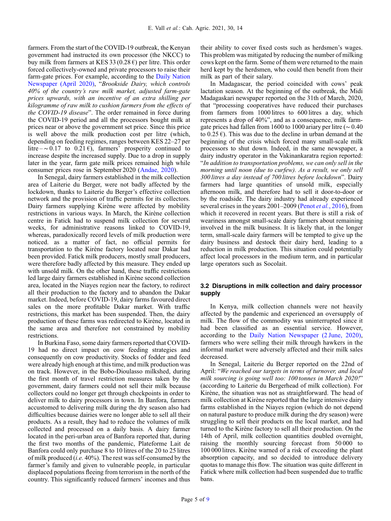farmers. From the start of the COVID-19 outbreak, the Kenyan government had instructed its own processor (the NKCC) to buy milk from farmers at KES 33 (0.28  $\epsilon$ ) per litre. This order forced collectively-owned and private processors to raise their farm-gate prices. For example, according to the [Daily Nation](#page-8-0) [Newspaper \(April 2020\),](#page-8-0) "Brookside Dairy, which controls 40% of the country's raw milk market, adjusted farm-gate prices upwards, with an incentive of an extra shilling per kilogramme of raw milk to cushion farmers from the effects of the COVID-19 disease". The order remained in force during the COVID-19 period and all the processors bought milk at prices near or above the government set price. Since this price is well above the milk production cost per litre (which, depending on feeding regimes, ranges between KES 22–27 per litre –∼0.17 to 0.21 €), farmers' prosperity continued to increase despite the increased supply. Due to a drop in supply later in the year, farm gate milk prices remained high while consumer prices rose in September 2020 ([Andae, 2020](#page-8-0)).

In Senegal, dairy farmers established in the milk collection area of Laiterie du Berger, were not badly affected by the lockdown, thanks to Laiterie du Berger's effective collection network and the provision of traffic permits for its collectors. Dairy farmers supplying Kirène were affected by mobility restrictions in various ways. In March, the Kirène collection centre in Fatick had to suspend milk collection for several weeks, for administrative reasons linked to COVID-19, whereas, paradoxically record levels of milk production were noticed. as a matter of fact, no official permits for transportation to the Kirène factory located near Dakar had been provided. Fatick milk producers, mostly small producers, were therefore badly affected by this measure. They ended up with unsold milk. On the other hand, these traffic restrictions led large dairy farmers established in Kirène second collection area, located in the Niayes region near the factory, to redirect all their production to the factory and to abandon the Dakar market. Indeed, before COVID-19, dairy farms favoured direct sales on the more profitable Dakar market. With traffic restrictions, this market has been suspended. Then, the dairy production of these farms was redirected to Kirène, located in the same area and therefore not constrained by mobility restrictions.

In Burkina Faso, some dairy farmers reported that COVID-19 had no direct impact on cow feeding strategies and consequently on cow productivity. Stocks of fodder and feed were already high enough at this time, and milk production was on track. However, in the Bobo-Dioulasso milkshed, during the first month of travel restriction measures taken by the government, dairy farmers could not sell their milk because collectors could no longer get through checkpoints in order to deliver milk to dairy processors in town. In Banfora, farmers accustomed to delivering milk during the dry season also had difficulties because dairies were no longer able to sell all their products. As a result, they had to reduce the volumes of milk collected and processed on a daily basis. A dairy farmer located in the peri-urban area of Banfora reported that, during the first two months of the pandemic, Plateforme Lait de Banfora could only purchase 8 to 10 litres of the 20 to 25 litres of milk produced (i.e. 40%). The rest was self-consumed by the farmer's family and given to vulnerable people, in particular displaced populations fleeing from terrorism in the north of the country. This significantly reduced farmers' incomes and thus their ability to cover fixed costs such as herdsmen's wages. This problem was mitigated by reducing the number of milking cows kept on the farm. Some of them were returned to the main herd kept by the herdsmen, who could then benefit from their milk as part of their salary.

In Madagascar, the period coincided with cows' peak lactation season. At the beginning of the outbreak, the Midi Madagaskari newspaper reported on the 31th of March, 2020, that "processing cooperatives have reduced their purchases from farmers from 1000 litres to 600 litres a day, which represents a drop of 40%", and as a consequence, milk farmgate prices had fallen from 1600 to 1000 ariary per litre ( $\sim$  0.40 to  $0.25 \epsilon$ ). This was due to the decline in urban demand at the beginning of the crisis which forced many small-scale milk processors to shut down. Indeed, in the same newspaper, a dairy industry operator in the Vakinankaratra region reported: "In addition to transportation problems, we can only sell in the morning until noon (due to curfew). As a result, we only sell 300 litres a day instead of 700 litres before lockdown". Dairy farmers had large quantities of unsold milk, especially afternoon milk, and therefore had to sell it door-to-door or by the roadside. The dairy industry had already experienced several crises in the years 2001–2009 (Penot *et al.*[, 2016\)](#page-8-0), from which it recovered in recent years. But there is still a risk of weariness amongst small-scale dairy farmers about remaining involved in the milk business. It is likely that, in the longer term, small-scale dairy farmers will be tempted to give up the dairy business and destock their dairy herd, leading to a reduction in milk production. This situation could potentially affect local processors in the medium term, and in particular large operators such as Socolait.

# 3.2 Disruptions in milk collection and dairy processor supply

In Kenya, milk collection channels were not heavily affected by the pandemic and experienced an oversupply of milk. The flow of the commodity was uninterrupted since it had been classified as an essential service. However, according to the [Daily Nation Newspaper \(2 June, 2020\)](#page-8-0), farmers who were selling their milk through hawkers in the informal market were adversely affected and their milk sales decreased.

In Senegal, Laiterie du Berger reported on the 22nd of April: "We reached our targets in terms of turnover, and local milk sourcing is going well too: 100 tonnes in March 2020!" (according to Laiterie du Bergerhead of milk collection). For Kirène, the situation was not as straightforward. The head of milk collection at Kirène reported that the large intensive dairy farms established in the Niayes region (which do not depend on natural pasture to produce milk during the dry season) were struggling to sell their products on the local market, and had turned to the Kirène factory to sell all their production. On the 14th of April, milk collection quantities doubled overnight, raising the monthly sourcing forecast from 50 000 to 100 000 litres. Kirène warned of a risk of exceeding the plant absorption capacity, and so decided to introduce delivery quotas to manage this flow. The situation was quite different in Fatick where milk collection had been suspended due to traffic bans.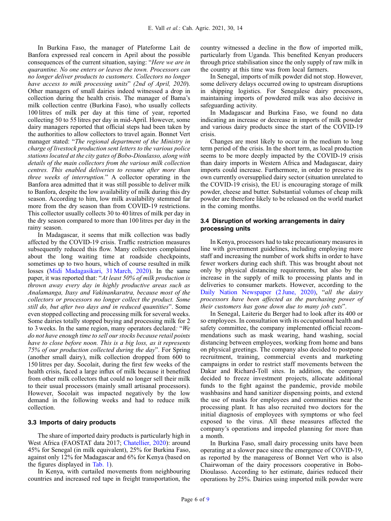In Burkina Faso, the manager of Plateforme Lait de Banfora expressed real concern in April about the possible consequences of the current situation, saying: "Here we are in quarantine. No one enters or leaves the town. Processors can no longer deliver products to customers. Collectors no longer have access to milk processing units" (2nd of April, 2020). Other managers of small dairies indeed witnessed a drop in collection during the health crisis. The manager of Bama's milk collection centre (Burkina Faso), who usually collects 100 litres of milk per day at this time of year, reported collecting 50 to 55 litres per day in mid-April. However, some dairy managers reported that official steps had been taken by the authorities to allow collectors to travel again. Bonnet Vert manager stated: "The regional department of the Ministry in charge of livestock production sent letters to the various police stations located at the city gates of Bobo-Dioulasso, along with details of the main collectors from the various milk collection centres. This enabled deliveries to resume after more than three weeks of interruption." A collector operating in the Banfora area admitted that it was still possible to deliver milk to Banfora, despite the low availability of milk during this dry season. According to him, low milk availability stemmed far more from the dry season than from COVID-19 restrictions. This collector usually collects 30 to 40 litres of milk per day in the dry season compared to more than 100 litres per day in the rainy season.

In Madagascar, it seems that milk collection was badly affected by the COVID-19 crisis. Traffic restriction measures subsequently reduced this flow. Many collectors complained about the long waiting time at roadside checkpoints, sometimes up to two hours, which of course resulted in milk losses ([Midi Madagasikari, 31 March, 2020](#page-8-0)). In the same paper, it was reported that: "At least 50% of milk production is thrown away every day in highly productive areas such as Analamanga, Itasy and Vakinankaratra, because most of the collectors or processors no longer collect the product. Some still do, but after two days and in reduced quantities". Some even stopped collecting and processing milk for several weeks. Some dairies totally stopped buying and processing milk for 2 to 3 weeks. In the same region, many operators declared: "We do not have enough time to sell our stocks because retail points have to close before noon. This is a big loss, as it represents 75% of our production collected during the day". For Spring (another small dairy), milk collection dropped from 600 to 150 litres per day. Socolait, during the first few weeks of the health crisis, faced a large influx of milk because it benefited from other milk collectors that could no longer sell their milk to their usual processors (mainly small artisanal processors). However, Socolait was impacted negatively by the low demand in the following weeks and had to reduce milk collection.

#### 3.3 Imports of dairy products

The share of imported dairy products is particularly high in West Africa (FAOSTAT data 2017; [Chatellier, 2020\)](#page-8-0): around 45% for Senegal (in milk equivalent), 25% for Burkina Faso, against only 12% for Madagascar and 6% for Kenya (based on the figures displayed in [Tab. 1\)](#page-2-0).

In Kenya, with curtailed movements from neighbouring countries and increased red tape in freight transportation, the country witnessed a decline in the flow of imported milk, particularly from Uganda. This benefited Kenyan producers through price stabilisation since the only supply of raw milk in the country at this time was from local farmers.

In Senegal, imports of milk powder did not stop. However, some delivery delays occurred owing to upstream disruptions in shipping logistics. For Senegalese dairy processors, maintaining imports of powdered milk was also decisive in safeguarding activity.

In Madagascar and Burkina Faso, we found no data indicating an increase or decrease in imports of milk powder and various dairy products since the start of the COVID-19 crisis.

Changes are most likely to occur in the medium to long term period of the crisis. In the short term, as local production seems to be more deeply impacted by the COVID-19 crisis than dairy imports in Western Africa and Madagascar, dairy imports could increase. Furthermore, in order to preserve its own currently oversupplied dairy sector (situation unrelated to the COVID-19 crisis), the EU is encouraging storage of milk powder, cheese and butter. Substantial volumes of cheap milk powder are therefore likely to be released on the world market in the coming months.

## 3.4 Disruption of working arrangements in dairy processing units

In Kenya, processors had to take precautionary measures in line with government guidelines, including employing more staff and increasing the number of work shifts in order to have fewer workers during each shift. This was brought about not only by physical distancing requirements, but also by the increase in the supply of milk to processing plants and in deliveries to consumer markets. However, according to the [Daily Nation Newspaper \(2 June, 2020\)](#page-8-0), "all the dairy processors have been affected as the purchasing power of their customers has gone down due to many job cuts".

In Senegal, Laiterie du Berger had to look after its 400 or so employees. In consultation with its occupational health and safety committee, the company implemented official recommendations such as mask wearing, hand washing, social distancing between employees, working from home and bans on physical greetings. The company also decided to postpone recruitment, training, commercial events and marketing campaigns in order to restrict staff movements between the Dakar and Richard-Toll sites. In addition, the company decided to freeze investment projects, allocate additional funds to the fight against the pandemic, provide mobile washbasins and hand sanitizer dispensing points, and extend the use of masks for employees and communities near the processing plant. It has also recruited two doctors for the initial diagnosis of employees with symptoms or who feel exposed to the virus. All these measures affected the company's operations and impeded planning for more than a month.

In Burkina Faso, small dairy processing units have been operating at a slower pace since the emergence of COVID-19, as reported by the manageress of Bonnet Vert who is also Chairwoman of the dairy processors cooperative in Bobo-Dioulasso. According to her estimate, dairies reduced their operations by 25%. Dairies using imported milk powder were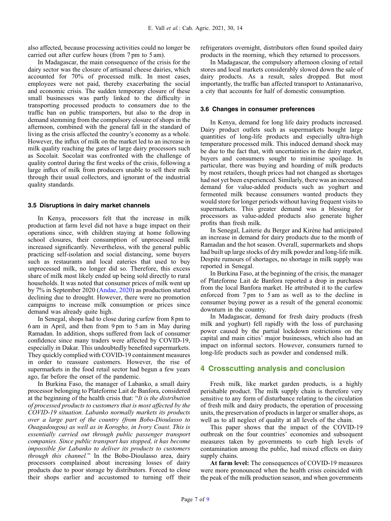also affected, because processing activities could no longer be carried out after curfew hours (from 7 pm to 5 am).

In Madagascar, the main consequence of the crisis for the dairy sector was the closure of artisanal cheese dairies, which accounted for 70% of processed milk. In most cases, employees were not paid, thereby exacerbating the social and economic crisis. The sudden temporary closure of these small businesses was partly linked to the difficulty in transporting processed products to consumers due to the traffic ban on public transporters, but also to the drop in demand stemming from the compulsory closure of shops in the afternoon, combined with the general fall in the standard of living as the crisis affected the country's economy as a whole. However, the influx of milk on the market led to an increase in milk quality reaching the gates of large dairy processors such as Socolait. Socolait was confronted with the challenge of quality control during the first weeks of the crisis, following a large influx of milk from producers unable to sell their milk through their usual collectors, and ignorant of the industrial quality standards.

#### 3.5 Disruptions in dairy market channels

In Kenya, processors felt that the increase in milk production at farm level did not have a huge impact on their operations since, with children staying at home following school closures, their consumption of unprocessed milk increased significantly. Nevertheless, with the general public practicing self-isolation and social distancing, some buyers such as restaurants and local eateries that used to buy unprocessed milk, no longer did so. Therefore, this excess share of milk most likely ended up being sold directly to rural households. It was noted that consumer prices of milk went up by 7% in September 2020 ([Andae, 2020\)](#page-8-0) as production started declining due to drought. However, there were no promotion campaigns to increase milk consumption or prices since demand was already quite high.

In Senegal, shops had to close during curfew from 8 pm to 6 am in April, and then from 9 pm to 5 am in May during Ramadan. In addition, shops suffered from lack of consumer confidence since many traders were affected by COVID-19, especially in Dakar. This undoubtedly benefited supermarkets. They quickly complied with COVID-19 containment measures in order to reassure customers. However, the rise of supermarkets in the food retail sector had begun a few years ago, far before the onset of the pandemic.

In Burkina Faso, the manager of Labanko, a small dairy processor belonging to Plateforme Lait de Banfora, considered at the beginning of the health crisis that: "It is the distribution of processed products to customers that is most affected by the COVID-19 situation. Labanko normally markets its products over a large part of the country (from Bobo-Dioulasso to Ouagadougou) as well as in Korogho, in Ivory Coast. This is essentially carried out through public passenger transport companies. Since public transport has stopped, it has become impossible for Labanko to deliver its products to customers through this channel." In the Bobo-Dioulasso area, dairy processors complained about increasing losses of dairy products due to poor storage by distributors. Forced to close their shops earlier and accustomed to turning off their refrigerators overnight, distributors often found spoiled dairy products in the morning, which they returned to processors.

In Madagascar, the compulsory afternoon closing of retail stores and local markets considerably slowed down the sale of dairy products. As a result, sales dropped. But most importantly, the traffic ban affected transport to Antananarivo, a city that accounts for half of domestic consumption.

#### 3.6 Changes in consumer preferences

In Kenya, demand for long life dairy products increased. Dairy product outlets such as supermarkets bought large quantities of long-life products and especially ultra-high temperature processed milk. This induced demand shock may be due to the fact that, with uncertainties in the dairy market, buyers and consumers sought to minimise spoilage. In particular, there was buying and hoarding of milk products by most retailers, though prices had not changed as shortages had not yet been experienced. Similarly, there was an increased demand for value-added products such as yoghurt and fermented milk because consumers wanted products they would store for longer periods without having frequent visits to supermarkets. This greater demand was a blessing for processors as value-added products also generate higher profits than fresh milk.

In Senegal, Laiterie du Berger and Kirène had anticipated an increase in demand for dairy products due to the month of Ramadan and the hot season. Overall, supermarkets and shops had built up large stocks of dry milk powder and long-life milk. Despite rumours of shortages, no shortage in milk supply was reported in Senegal.

In Burkina Faso, at the beginning of the crisis, the manager of Plateforme Lait de Banfora reported a drop in purchases from the local Banfora market. He attributed it to the curfew enforced from 7 pm to 5 am as well as to the decline in consumer buying power as a result of the general economic downturn in the country.

In Madagascar, demand for fresh dairy products (fresh milk and yoghurt) fell rapidly with the loss of purchasing power caused by the partial lockdown restrictions on the capital and main cities' major businesses, which also had an impact on informal sectors. However, consumers turned to long-life products such as powder and condensed milk.

# 4 Crosscutting analysis and conclusion

Fresh milk, like market garden products, is a highly perishable product. The milk supply chain is therefore very sensitive to any form of disturbance relating to the circulation of fresh milk and dairy products, the operation of processing units, the preservation of products in larger or smaller shops, as well as to all neglect of quality at all levels of the chain.

This paper shows that the impact of the COVID-19 outbreak on the four countries' economies and subsequent measures taken by governments to curb high levels of contamination among the public, had mixed effects on dairy supply chains.

At farm level: The consequences of COVID-19 measures were more pronounced when the health crisis coincided with the peak of the milk production season, and when governments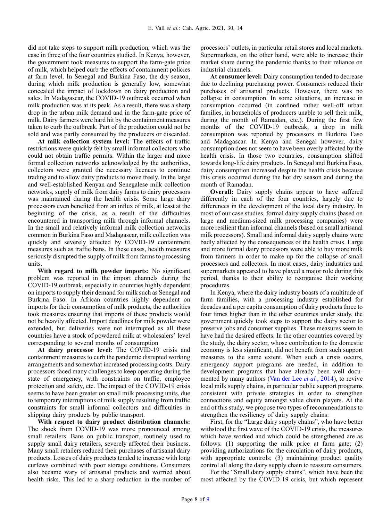did not take steps to support milk production, which was the case in three of the four countries studied. In Kenya, however, the government took measures to support the farm-gate price of milk, which helped curb the effects of containment policies at farm level. In Senegal and Burkina Faso, the dry season, during which milk production is generally low, somewhat concealed the impact of lockdown on dairy production and sales. In Madagascar, the COVID-19 outbreak occurred when milk production was at its peak. As a result, there was a sharp drop in the urban milk demand and in the farm-gate price of milk. Dairy farmers were hard hit by the containment measures taken to curb the outbreak. Part of the production could not be sold and was partly consumed by the producers or discarded.

At milk collection system level: The effects of traffic restrictions were quickly felt by small informal collectors who could not obtain traffic permits. Within the larger and more formal collection networks acknowledged by the authorities, collectors were granted the necessary licences to continue trading and to allow dairy products to move freely. In the large and well-established Kenyan and Senegalese milk collection networks, supply of milk from dairy farms to dairy processors was maintained during the health crisis. Some large dairy processors even benefited from an influx of milk, at least at the beginning of the crisis, as a result of the difficulties encountered in transporting milk through informal channels. In the small and relatively informal milk collection networks common in Burkina Faso and Madagascar, milk collection was quickly and severely affected by COVID-19 containment measures such as traffic bans. In these cases, health measures seriously disrupted the supply of milk from farms to processing units.

With regard to milk powder imports: No significant problem was reported in the import channels during the COVID-19 outbreak, especially in countries highly dependent on imports to supply their demand for milk such as Senegal and Burkina Faso. In African countries highly dependent on imports for their consumption of milk products, the authorities took measures ensuring that imports of these products would not be heavily affected. Import deadlines for milk powder were extended, but deliveries were not interrupted as all these countries have a stock of powdered milk at wholesalers' level corresponding to several months of consumption

At dairy processor level: The COVID-19 crisis and containment measures to curb the pandemic disrupted working arrangements and somewhat increased processing costs. Dairy processors faced many challenges to keep operating during the state of emergency, with constraints on traffic, employee protection and safety, etc. The impact of the COVID-19 crisis seems to have been greater on small milk processing units, due to temporary interruptions of milk supply resulting from traffic constraints for small informal collectors and difficulties in shipping dairy products by public transport.

With respect to dairy product distribution channels: The shock from COVID-19 was more pronounced among small retailers. Bans on public transport, routinely used to supply small dairy retailers, severely affected their business. Many small retailers reduced their purchases of artisanal dairy products. Losses of dairy products tended to increase with long curfews combined with poor storage conditions. Consumers also became wary of artisanal products and worried about health risks. This led to a sharp reduction in the number of processors' outlets, in particular retail stores and local markets. Supermarkets, on the other hand, were able to increase their market share during the pandemic thanks to their reliance on industrial channels.

At consumer level: Dairy consumption tended to decrease due to declining purchasing power. Consumers reduced their purchases of artisanal products. However, there was no collapse in consumption. In some situations, an increase in consumption occurred (in confined rather well-off urban families, in households of producers unable to sell their milk, during the month of Ramadan, etc.). During the first few months of the COVID-19 outbreak, a drop in milk consumption was reported by processors in Burkina Faso and Madagascar. In Kenya and Senegal however, dairy consumption does not seem to have been overly affected by the health crisis. In those two countries, consumption shifted towards long-life dairy products. In Senegal and Burkina Faso, dairy consumption increased despite the health crisis because this crisis occurred during the hot dry season and during the month of Ramadan.

Overall: Dairy supply chains appear to have suffered differently in each of the four countries, largely due to differences in the development of the local dairy industry. In most of our case studies, formal dairy supply chains (based on large and medium-sized milk processing companies) were more resilient than informal channels (based on small artisanal milk processors). Small and informal dairy supply chains were badly affected by the consequences of the health crisis. Large and more formal dairy processors were able to buy more milk from farmers in order to make up for the collapse of small processors and collectors. In most cases, dairy industries and supermarkets appeared to have played a major role during this period, thanks to their ability to reorganise their working procedures.

In Kenya, where the dairy industry boasts of a multitude of farm families, with a processing industry established for decades and a per capita consumption of dairy products three to four times higher than in the other countries under study, the government quickly took steps to support the dairy sector to preserve jobs and consumer supplies. These measures seem to have had the desired effects. In the other countries covered by the study, the dairy sector, whose contribution to the domestic economy is less significant, did not benefit from such support measures to the same extent. When such a crisis occurs, emergency support programs are needed, in addition to development programs that have already been well docu-mented by many authors [\(Van der Lee](#page-8-0) *et al.*, 2014), to revive local milk supply chains, in particular public support programs consistent with private strategies in order to strengthen connections and equity amongst value chain players. At the end of this study, we propose two types of recommendations to strengthen the resiliency of dairy supply chains:

First, for the "Large dairy supply chains", who have better withstood the first wave of the COVID-19 crisis, the measures which have worked and which could be strengthened are as follows: (1) supporting the milk price at farm gate; (2) providing authorizations for the circulation of dairy products, with appropriate controls; (3) maintaining product quality control all along the dairy supply chain to reassure consumers.

For the "Small dairy supply chains", which have been the most affected by the COVID-19 crisis, but which represent